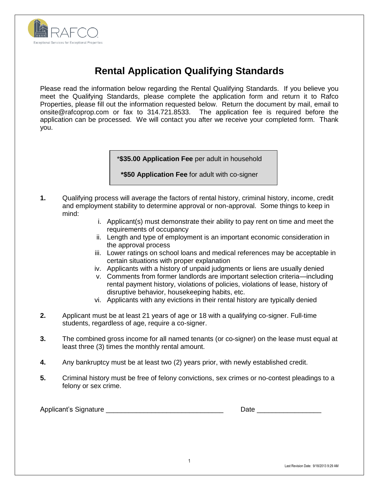

# **Rental Application Qualifying Standards**

Please read the information below regarding the Rental Qualifying Standards. If you believe you meet the Qualifying Standards, please complete the application form and return it to Rafco Properties, please fill out the information requested below. Return the document by mail, email to onsite@rafcoprop.com or fax to 314.721.8533. The application fee is required before the application can be processed. We will contact you after we receive your completed form. Thank you.

\***\$35.00 Application Fee** per adult in household

**\*\$50 Application Fee** for adult with co-signer

- **1.** Qualifying process will average the factors of rental history, criminal history, income, credit and employment stability to determine approval or non-approval. Some things to keep in mind:
	- i. Applicant(s) must demonstrate their ability to pay rent on time and meet the requirements of occupancy
	- ii. Length and type of employment is an important economic consideration in the approval process
	- iii. Lower ratings on school loans and medical references may be acceptable in certain situations with proper explanation
	- iv. Applicants with a history of unpaid judgments or liens are usually denied
	- v. Comments from former landlords are important selection criteria—including rental payment history, violations of policies, violations of lease, history of disruptive behavior, housekeeping habits, etc.
	- vi. Applicants with any evictions in their rental history are typically denied
- **2.** Applicant must be at least 21 years of age or 18 with a qualifying co-signer. Full-time students, regardless of age, require a co-signer.
- **3.** The combined gross income for all named tenants (or co-signer) on the lease must equal at least three (3) times the monthly rental amount.
- **4.** Any bankruptcy must be at least two (2) years prior, with newly established credit.
- **5.** Criminal history must be free of felony convictions, sex crimes or no-contest pleadings to a felony or sex crime.

Applicant's Signature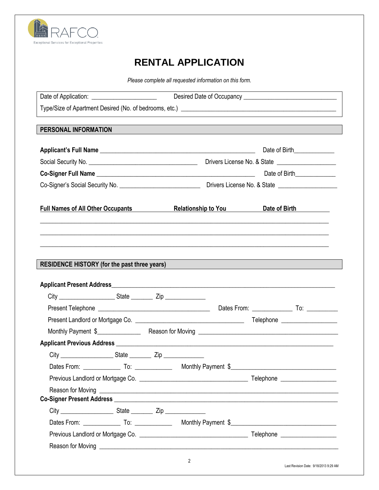

## **RENTAL APPLICATION**

*Please complete all requested information on this form.*

| PERSONAL INFORMATION                     |  |                            |                                                                                                                                                                                                                                     |  |
|------------------------------------------|--|----------------------------|-------------------------------------------------------------------------------------------------------------------------------------------------------------------------------------------------------------------------------------|--|
|                                          |  |                            |                                                                                                                                                                                                                                     |  |
|                                          |  |                            | Date of Birth_______________                                                                                                                                                                                                        |  |
|                                          |  |                            |                                                                                                                                                                                                                                     |  |
|                                          |  |                            |                                                                                                                                                                                                                                     |  |
|                                          |  |                            |                                                                                                                                                                                                                                     |  |
| <b>Full Names of All Other Occupants</b> |  | <b>Relationship to You</b> | Date of Birth <b>National State of Birth</b>                                                                                                                                                                                        |  |
|                                          |  |                            |                                                                                                                                                                                                                                     |  |
|                                          |  |                            |                                                                                                                                                                                                                                     |  |
|                                          |  |                            |                                                                                                                                                                                                                                     |  |
|                                          |  |                            |                                                                                                                                                                                                                                     |  |
|                                          |  |                            |                                                                                                                                                                                                                                     |  |
|                                          |  |                            |                                                                                                                                                                                                                                     |  |
|                                          |  |                            | RESIDENCE HISTORY (for the past three years)<br>The manufacturer of the state of the state of the state of the state of the state of the state of the state of the state of the state of the state of the state of the state of     |  |
|                                          |  |                            |                                                                                                                                                                                                                                     |  |
|                                          |  |                            |                                                                                                                                                                                                                                     |  |
|                                          |  |                            |                                                                                                                                                                                                                                     |  |
|                                          |  |                            |                                                                                                                                                                                                                                     |  |
|                                          |  |                            | Present Telephone <b>Construction</b> Dates From: Construction Dates From: Construction Dates From: Construction Dates From: Construction Dates From: Construction Dates From: Construction Dates From: Construction Dates From: Co |  |
|                                          |  |                            |                                                                                                                                                                                                                                     |  |
|                                          |  |                            |                                                                                                                                                                                                                                     |  |
|                                          |  |                            |                                                                                                                                                                                                                                     |  |
|                                          |  |                            | Reason for Moving <b>Example 2018</b> Section 2018 12:30 AM AND 10:30 AM AND 10:30 AM AND 10:30 AM AND 10:30 AM AND 10:30 AM AND 10:30 AM AND 10:30 AM AND 10:30 AM AND 10:30 AM AND 10:30 AM AND 10:30 AM AND 10:30 AM AND 10:30 A |  |
|                                          |  |                            |                                                                                                                                                                                                                                     |  |
|                                          |  |                            |                                                                                                                                                                                                                                     |  |
|                                          |  |                            |                                                                                                                                                                                                                                     |  |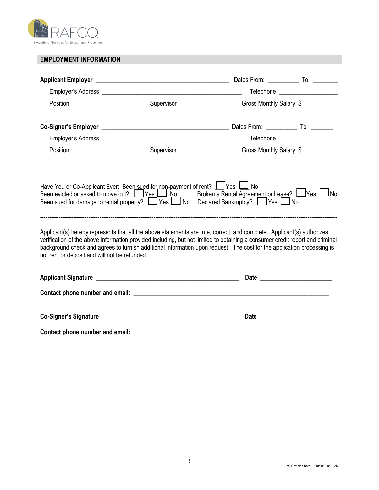| Exceptional Services for Exceptional Properties |
|-------------------------------------------------|

## **EMPLOYMENT INFORMATION**

| Applicant(s) hereby represents that all the above statements are true, correct, and complete. Applicant(s) authorizes<br>verification of the above information provided including, but not limited to obtaining a consumer credit report and criminal<br>background check and agrees to furnish additional information upon request. The cost for the application processing is<br>not rent or deposit and will not be refunded. |  |  |
|----------------------------------------------------------------------------------------------------------------------------------------------------------------------------------------------------------------------------------------------------------------------------------------------------------------------------------------------------------------------------------------------------------------------------------|--|--|
|                                                                                                                                                                                                                                                                                                                                                                                                                                  |  |  |
|                                                                                                                                                                                                                                                                                                                                                                                                                                  |  |  |
|                                                                                                                                                                                                                                                                                                                                                                                                                                  |  |  |
|                                                                                                                                                                                                                                                                                                                                                                                                                                  |  |  |
|                                                                                                                                                                                                                                                                                                                                                                                                                                  |  |  |